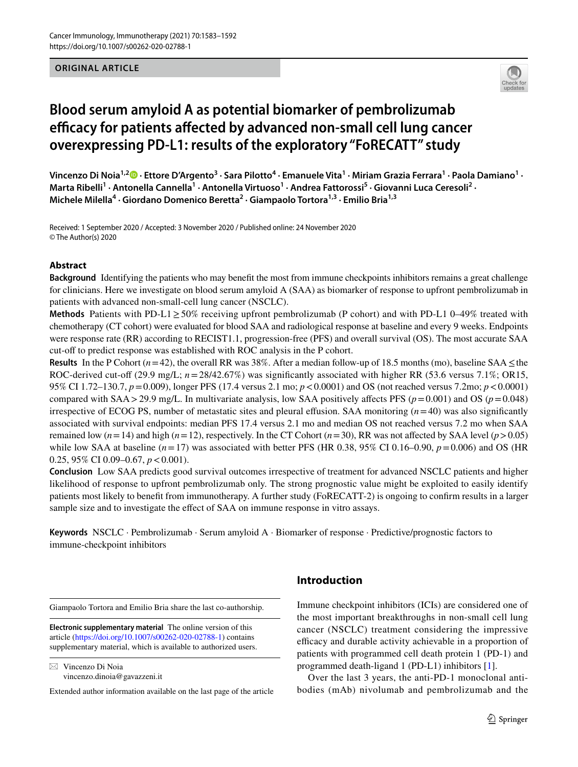### **ORIGINAL ARTICLE**



# **Blood serum amyloid A as potential biomarker of pembrolizumab**  efficacy for patients affected by advanced non-small cell lung cancer **overexpressing PD‑L1: results of the exploratory "FoRECATT" study**

**Vincenzo Di Noia1,2 · Ettore D'Argento<sup>3</sup> · Sara Pilotto<sup>4</sup> · Emanuele Vita1 · Miriam Grazia Ferrara1 · Paola Damiano1 ·**  Marta Ribelli<sup>1</sup> · Antonella Cannella<sup>1</sup> · Antonella Virtuoso<sup>1</sup> · Andrea Fattorossi<sup>5</sup> · Giovanni Luca Ceresoli<sup>2</sup> · **Michele Milella4 · Giordano Domenico Beretta2 · Giampaolo Tortora1,3 · Emilio Bria1,3**

Received: 1 September 2020 / Accepted: 3 November 2020 / Published online: 24 November 2020 © The Author(s) 2020

### **Abstract**

**Background** Identifying the patients who may beneft the most from immune checkpoints inhibitors remains a great challenge for clinicians. Here we investigate on blood serum amyloid A (SAA) as biomarker of response to upfront pembrolizumab in patients with advanced non-small-cell lung cancer (NSCLC).

**Methods** Patients with PD-L1≥50% receiving upfront pembrolizumab (P cohort) and with PD-L1 0–49% treated with chemotherapy (CT cohort) were evaluated for blood SAA and radiological response at baseline and every 9 weeks. Endpoints were response rate (RR) according to RECIST1.1, progression-free (PFS) and overall survival (OS). The most accurate SAA cut-off to predict response was established with ROC analysis in the P cohort.

**Results** In the P Cohort ( $n=42$ ), the overall RR was 38%. After a median follow-up of 18.5 months (mo), baseline SAA  $\leq$ the ROC-derived cut-off (29.9 mg/L;  $n=28/42.67\%$ ) was significantly associated with higher RR (53.6 versus 7.1%; OR15, 95% CI 1.72–130.7, *p*=0.009), longer PFS (17.4 versus 2.1 mo; *p*<0.0001) and OS (not reached versus 7.2mo; *p*<0.0001) compared with SAA>29.9 mg/L. In multivariate analysis, low SAA positively affects PFS ( $p=0.001$ ) and OS ( $p=0.048$ ) irrespective of ECOG PS, number of metastatic sites and pleural effusion. SAA monitoring  $(n=40)$  was also significantly associated with survival endpoints: median PFS 17.4 versus 2.1 mo and median OS not reached versus 7.2 mo when SAA remained low ( $n=14$ ) and high ( $n=12$ ), respectively. In the CT Cohort ( $n=30$ ), RR was not affected by SAA level ( $p>0.05$ ) while low SAA at baseline  $(n=17)$  was associated with better PFS (HR 0.38, 95% CI 0.16–0.90,  $p = 0.006$ ) and OS (HR 0.25, 95% CI 0.09–0.67, *p*<0.001).

**Conclusion** Low SAA predicts good survival outcomes irrespective of treatment for advanced NSCLC patients and higher likelihood of response to upfront pembrolizumab only. The strong prognostic value might be exploited to easily identify patients most likely to beneft from immunotherapy. A further study (FoRECATT-2) is ongoing to confrm results in a larger sample size and to investigate the efect of SAA on immune response in vitro assays.

**Keywords** NSCLC · Pembrolizumab · Serum amyloid A · Biomarker of response · Predictive/prognostic factors to immune-checkpoint inhibitors

Giampaolo Tortora and Emilio Bria share the last co-authorship.

**Electronic supplementary material** The online version of this article [\(https://doi.org/10.1007/s00262-020-02788-1\)](https://doi.org/10.1007/s00262-020-02788-1) contains supplementary material, which is available to authorized users.

 $\boxtimes$  Vincenzo Di Noia vincenzo.dinoia@gavazzeni.it

Extended author information available on the last page of the article

### **Introduction**

Immune checkpoint inhibitors (ICIs) are considered one of the most important breakthroughs in non-small cell lung cancer (NSCLC) treatment considering the impressive efficacy and durable activity achievable in a proportion of patients with programmed cell death protein 1 (PD-1) and programmed death-ligand 1 (PD-L1) inhibitors [[1\]](#page-8-0).

Over the last 3 years, the anti-PD-1 monoclonal antibodies (mAb) nivolumab and pembrolizumab and the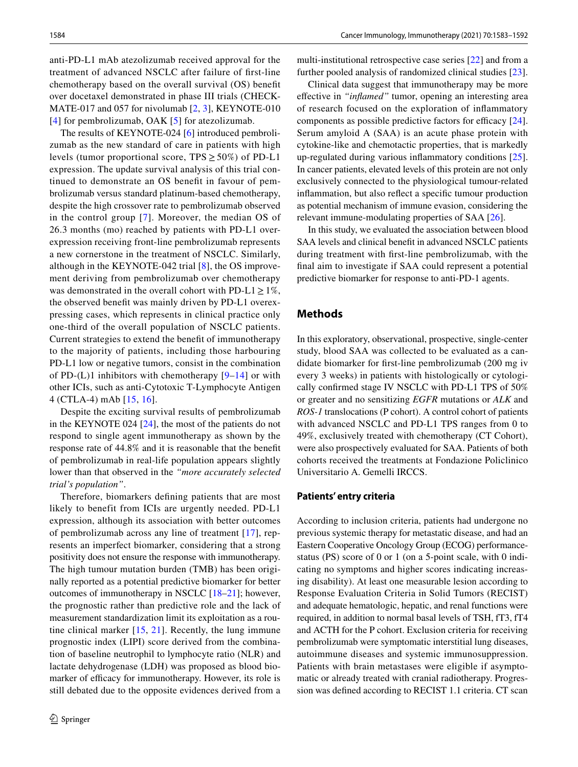anti-PD-L1 mAb atezolizumab received approval for the treatment of advanced NSCLC after failure of frst-line chemotherapy based on the overall survival (OS) beneft over docetaxel demonstrated in phase III trials (CHECK-MATE-017 and 057 for nivolumab [[2,](#page-8-1) [3](#page-8-2)], KEYNOTE-010 [[4\]](#page-8-3) for pembrolizumab, OAK [[5\]](#page-8-4) for atezolizumab.

The results of KEYNOTE-024 [\[6](#page-8-5)] introduced pembrolizumab as the new standard of care in patients with high levels (tumor proportional score,  $TPS \ge 50\%$ ) of PD-L1 expression. The update survival analysis of this trial continued to demonstrate an OS beneft in favour of pembrolizumab versus standard platinum-based chemotherapy, despite the high crossover rate to pembrolizumab observed in the control group [[7\]](#page-8-6). Moreover, the median OS of 26.3 months (mo) reached by patients with PD-L1 overexpression receiving front-line pembrolizumab represents a new cornerstone in the treatment of NSCLC. Similarly, although in the KEYNOTE-042 trial [[8\]](#page-8-7), the OS improvement deriving from pembrolizumab over chemotherapy was demonstrated in the overall cohort with PD-L1 $\geq$ 1%, the observed beneft was mainly driven by PD-L1 overexpressing cases, which represents in clinical practice only one-third of the overall population of NSCLC patients. Current strategies to extend the beneft of immunotherapy to the majority of patients, including those harbouring PD-L1 low or negative tumors, consist in the combination of PD- $(L)$ 1 inhibitors with chemotherapy  $[9-14]$  $[9-14]$  $[9-14]$  or with other ICIs, such as anti-Cytotoxic T-Lymphocyte Antigen 4 (CTLA-4) mAb [\[15,](#page-9-1) [16](#page-9-2)].

Despite the exciting survival results of pembrolizumab in the KEYNOTE 024 [[24\]](#page-9-3), the most of the patients do not respond to single agent immunotherapy as shown by the response rate of 44.8% and it is reasonable that the beneft of pembrolizumab in real-life population appears slightly lower than that observed in the *"more accurately selected trial's population"*.

Therefore, biomarkers defning patients that are most likely to benefit from ICIs are urgently needed. PD-L1 expression, although its association with better outcomes of pembrolizumab across any line of treatment [[17](#page-9-4)], represents an imperfect biomarker, considering that a strong positivity does not ensure the response with immunotherapy. The high tumour mutation burden (TMB) has been originally reported as a potential predictive biomarker for better outcomes of immunotherapy in NSCLC [[18–](#page-9-5)[21](#page-9-6)]; however, the prognostic rather than predictive role and the lack of measurement standardization limit its exploitation as a routine clinical marker  $[15, 21]$  $[15, 21]$  $[15, 21]$  $[15, 21]$  $[15, 21]$ . Recently, the lung immune prognostic index (LIPI) score derived from the combination of baseline neutrophil to lymphocyte ratio (NLR) and lactate dehydrogenase (LDH) was proposed as blood biomarker of efficacy for immunotherapy. However, its role is still debated due to the opposite evidences derived from a multi-institutional retrospective case series [[22\]](#page-9-7) and from a further pooled analysis of randomized clinical studies [\[23](#page-9-8)].

Clinical data suggest that immunotherapy may be more efective in *"infamed"* tumor, opening an interesting area of research focused on the exploration of infammatory components as possible predictive factors for efficacy [\[24](#page-9-3)]. Serum amyloid A (SAA) is an acute phase protein with cytokine-like and chemotactic properties, that is markedly up-regulated during various infammatory conditions [\[25](#page-9-9)]. In cancer patients, elevated levels of this protein are not only exclusively connected to the physiological tumour-related infammation, but also refect a specifc tumour production as potential mechanism of immune evasion, considering the relevant immune-modulating properties of SAA [\[26](#page-9-10)].

In this study, we evaluated the association between blood SAA levels and clinical beneft in advanced NSCLC patients during treatment with frst-line pembrolizumab, with the fnal aim to investigate if SAA could represent a potential predictive biomarker for response to anti-PD-1 agents.

### **Methods**

In this exploratory, observational, prospective, single-center study, blood SAA was collected to be evaluated as a candidate biomarker for frst-line pembrolizumab (200 mg iv every 3 weeks) in patients with histologically or cytologically confrmed stage IV NSCLC with PD-L1 TPS of 50% or greater and no sensitizing *EGFR* mutations or *ALK* and *ROS-1* translocations (P cohort). A control cohort of patients with advanced NSCLC and PD-L1 TPS ranges from 0 to 49%, exclusively treated with chemotherapy (CT Cohort), were also prospectively evaluated for SAA. Patients of both cohorts received the treatments at Fondazione Policlinico Universitario A. Gemelli IRCCS.

#### **Patients' entry criteria**

According to inclusion criteria, patients had undergone no previous systemic therapy for metastatic disease, and had an Eastern Cooperative Oncology Group (ECOG) performancestatus (PS) score of 0 or 1 (on a 5-point scale, with 0 indicating no symptoms and higher scores indicating increasing disability). At least one measurable lesion according to Response Evaluation Criteria in Solid Tumors (RECIST) and adequate hematologic, hepatic, and renal functions were required, in addition to normal basal levels of TSH, fT3, fT4 and ACTH for the P cohort. Exclusion criteria for receiving pembrolizumab were symptomatic interstitial lung diseases, autoimmune diseases and systemic immunosuppression. Patients with brain metastases were eligible if asymptomatic or already treated with cranial radiotherapy. Progression was defned according to RECIST 1.1 criteria. CT scan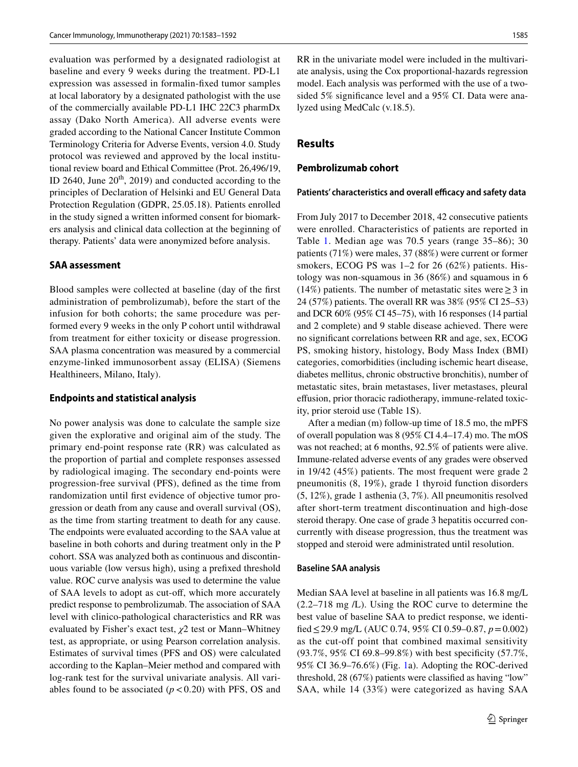evaluation was performed by a designated radiologist at baseline and every 9 weeks during the treatment. PD-L1 expression was assessed in formalin-fxed tumor samples at local laboratory by a designated pathologist with the use of the commercially available PD-L1 IHC 22C3 pharmDx assay (Dako North America). All adverse events were graded according to the National Cancer Institute Common Terminology Criteria for Adverse Events, version 4.0. Study protocol was reviewed and approved by the local institutional review board and Ethical Committee (Prot. 26,496/19, ID 2640, June  $20^{th}$ , 2019) and conducted according to the principles of Declaration of Helsinki and EU General Data Protection Regulation (GDPR, 25.05.18). Patients enrolled in the study signed a written informed consent for biomarkers analysis and clinical data collection at the beginning of therapy. Patients' data were anonymized before analysis.

#### **SAA assessment**

Blood samples were collected at baseline (day of the frst administration of pembrolizumab), before the start of the infusion for both cohorts; the same procedure was performed every 9 weeks in the only P cohort until withdrawal from treatment for either toxicity or disease progression. SAA plasma concentration was measured by a commercial enzyme-linked immunosorbent assay (ELISA) (Siemens Healthineers, Milano, Italy).

#### **Endpoints and statistical analysis**

No power analysis was done to calculate the sample size given the explorative and original aim of the study. The primary end-point response rate (RR) was calculated as the proportion of partial and complete responses assessed by radiological imaging. The secondary end-points were progression-free survival (PFS), defned as the time from randomization until frst evidence of objective tumor progression or death from any cause and overall survival (OS), as the time from starting treatment to death for any cause. The endpoints were evaluated according to the SAA value at baseline in both cohorts and during treatment only in the P cohort. SSA was analyzed both as continuous and discontinuous variable (low versus high), using a prefxed threshold value. ROC curve analysis was used to determine the value of SAA levels to adopt as cut-off, which more accurately predict response to pembrolizumab. The association of SAA level with clinico-pathological characteristics and RR was evaluated by Fisher's exact test, *χ*2 test or Mann–Whitney test, as appropriate, or using Pearson correlation analysis. Estimates of survival times (PFS and OS) were calculated according to the Kaplan–Meier method and compared with log-rank test for the survival univariate analysis. All variables found to be associated  $(p < 0.20)$  with PFS, OS and RR in the univariate model were included in the multivariate analysis, using the Cox proportional-hazards regression model. Each analysis was performed with the use of a twosided 5% signifcance level and a 95% CI. Data were analyzed using MedCalc (v.18.5).

### **Results**

### **Pembrolizumab cohort**

#### Patients' characteristics and overall efficacy and safety data

From July 2017 to December 2018, 42 consecutive patients were enrolled. Characteristics of patients are reported in Table [1.](#page-3-0) Median age was 70.5 years (range 35–86); 30 patients (71%) were males, 37 (88%) were current or former smokers, ECOG PS was 1–2 for 26 (62%) patients. Histology was non-squamous in 36 (86%) and squamous in 6 (14%) patients. The number of metastatic sites were  $\geq$  3 in 24 (57%) patients. The overall RR was 38% (95% CI 25–53) and DCR 60% (95% CI 45–75), with 16 responses (14 partial and 2 complete) and 9 stable disease achieved. There were no signifcant correlations between RR and age, sex, ECOG PS, smoking history, histology, Body Mass Index (BMI) categories, comorbidities (including ischemic heart disease, diabetes mellitus, chronic obstructive bronchitis), number of metastatic sites, brain metastases, liver metastases, pleural efusion, prior thoracic radiotherapy, immune-related toxicity, prior steroid use (Table 1S).

After a median (m) follow-up time of 18.5 mo, the mPFS of overall population was 8 (95% CI 4.4–17.4) mo. The mOS was not reached; at 6 months, 92.5% of patients were alive. Immune-related adverse events of any grades were observed in 19/42 (45%) patients. The most frequent were grade 2 pneumonitis (8, 19%), grade 1 thyroid function disorders (5, 12%), grade 1 asthenia (3, 7%). All pneumonitis resolved after short-term treatment discontinuation and high-dose steroid therapy. One case of grade 3 hepatitis occurred concurrently with disease progression, thus the treatment was stopped and steroid were administrated until resolution.

#### **Baseline SAA analysis**

Median SAA level at baseline in all patients was 16.8 mg/L (2.2–718 mg /L). Using the ROC curve to determine the best value of baseline SAA to predict response, we identifed≤29.9 mg/L (AUC 0.74, 95% CI 0.59–0.87, *p*=0.002) as the cut-off point that combined maximal sensitivity (93.7%, 95% CI 69.8–99.8%) with best specifcity (57.7%, 95% CI 36.9–76.6%) (Fig. [1a](#page-4-0)). Adopting the ROC-derived threshold, 28 (67%) patients were classifed as having "low" SAA, while 14 (33%) were categorized as having SAA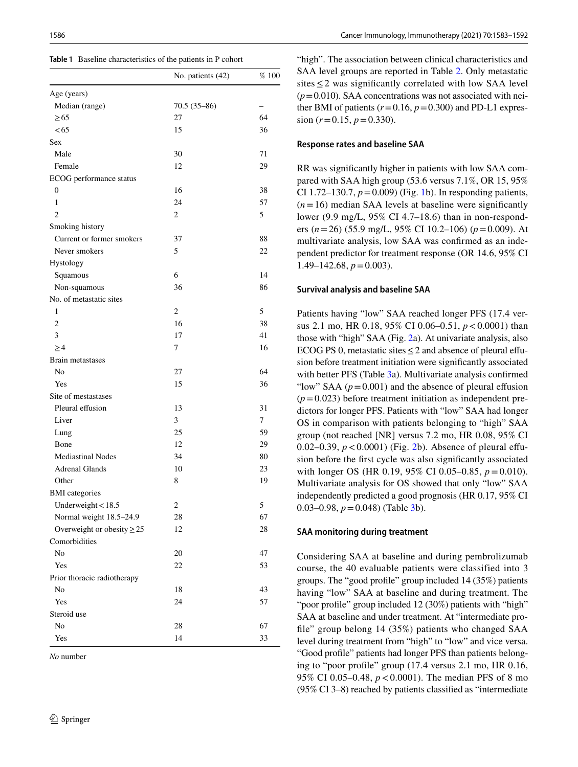<span id="page-3-0"></span>

|  | Table 1 Baseline characteristics of the patients in P cohort |  |  |  |  |
|--|--------------------------------------------------------------|--|--|--|--|
|--|--------------------------------------------------------------|--|--|--|--|

|                                 | No. patients (42) | $\%$ 100 |
|---------------------------------|-------------------|----------|
| Age (years)                     |                   |          |
| Median (range)                  | $70.5(35-86)$     |          |
| > 65                            | 27                | 64       |
| < 65                            | 15                | 36       |
| Sex                             |                   |          |
| Male                            | 30                | 71       |
| Female                          | 12                | 29       |
| ECOG performance status         |                   |          |
| 0                               | 16                | 38       |
| 1                               | 24                | 57       |
| $\overline{c}$                  | $\overline{c}$    | 5        |
| Smoking history                 |                   |          |
| Current or former smokers       | 37                | 88       |
| Never smokers                   | 5                 | 22       |
| Hystology                       |                   |          |
| Squamous                        | 6                 | 14       |
| Non-squamous                    | 36                | 86       |
| No. of metastatic sites         |                   |          |
| 1                               | 2                 | 5        |
| $\overline{c}$                  | 16                | 38       |
| 3                               | 17                | 41       |
| $\geq$ 4                        | 7                 | 16       |
| Brain metastases                |                   |          |
| No                              | 27                | 64       |
| Yes                             | 15                | 36       |
| Site of mestastases             |                   |          |
| Pleural effusion                | 13                | 31       |
| Liver                           | 3                 | 7        |
| Lung                            | 25                | 59       |
| Bone                            | 12                | 29       |
| <b>Mediastinal Nodes</b>        | 34                | 80       |
| <b>Adrenal Glands</b>           | 10                | 23       |
| Other                           | 8                 | 19       |
| <b>BMI</b> categories           |                   |          |
| Underweight $<$ 18.5            | 2                 | 5        |
| Normal weight 18.5-24.9         | 28                | 67       |
| Overweight or obesity $\geq$ 25 | 12                | 28       |
| Comorbidities                   |                   |          |
| No                              | 20                | 47       |
| Yes                             | 22                | 53       |
| Prior thoracic radiotherapy     |                   |          |
| No                              | 18                | 43       |
| Yes                             | 24                | 57       |
| Steroid use                     |                   |          |
| No                              | 28                | 67       |
| Yes                             | 14                | 33       |

*No* number

"high". The association between clinical characteristics and SAA level groups are reported in Table [2.](#page-5-0) Only metastatic sites  $\leq$  2 was significantly correlated with low SAA level  $(p=0.010)$ . SAA concentrations was not associated with neither BMI of patients  $(r=0.16, p=0.300)$  and PD-L1 expression  $(r=0.15, p=0.330)$ .

#### **Response rates and baseline SAA**

RR was signifcantly higher in patients with low SAA compared with SAA high group (53.6 versus 7.1%, OR 15, 95% CI 1.72–130.7,  $p = 0.009$ ) (Fig. [1b](#page-4-0)). In responding patients,  $(n=16)$  median SAA levels at baseline were significantly lower (9.9 mg/L, 95% CI 4.7–18.6) than in non-responders (*n*=26) (55.9 mg/L, 95% CI 10.2–106) (*p*=0.009). At multivariate analysis, low SAA was confrmed as an independent predictor for treatment response (OR 14.6, 95% CI  $1.49 - 142.68$ ,  $p = 0.003$ ).

#### **Survival analysis and baseline SAA**

Patients having "low" SAA reached longer PFS (17.4 versus 2.1 mo, HR 0.18, 95% CI 0.06–0.51,  $p < 0.0001$ ) than those with "high" SAA (Fig. [2a](#page-6-0)). At univariate analysis, also ECOG PS 0, metastatic sites≤2 and absence of pleural efusion before treatment initiation were signifcantly associated with better PFS (Table [3a](#page-7-0)). Multivariate analysis confirmed "low" SAA  $(p=0.001)$  and the absence of pleural effusion"  $(p=0.023)$  before treatment initiation as independent predictors for longer PFS. Patients with "low" SAA had longer OS in comparison with patients belonging to "high" SAA group (not reached [NR] versus 7.2 mo, HR 0.08, 95% CI 0.02–0.39, *p*<0.0001) (Fig. [2](#page-6-0)b). Absence of pleural efusion before the frst cycle was also signifcantly associated with longer OS (HR 0.19, 95% CI 0.05–0.85,  $p = 0.010$ ). Multivariate analysis for OS showed that only "low" SAA independently predicted a good prognosis (HR 0.17, 95% CI 0.03–0.98,  $p = 0.048$ ) (Table [3](#page-7-0)b).

#### **SAA monitoring during treatment**

Considering SAA at baseline and during pembrolizumab course, the 40 evaluable patients were classified into 3 groups. The "good profle" group included 14 (35%) patients having "low" SAA at baseline and during treatment. The "poor profle" group included 12 (30%) patients with "high" SAA at baseline and under treatment. At "intermediate profle" group belong 14 (35%) patients who changed SAA level during treatment from "high" to "low" and vice versa. "Good profle" patients had longer PFS than patients belonging to "poor profle" group (17.4 versus 2.1 mo, HR 0.16, 95% CI 0.05–0.48, *p*<0.0001). The median PFS of 8 mo (95% CI 3–8) reached by patients classifed as "intermediate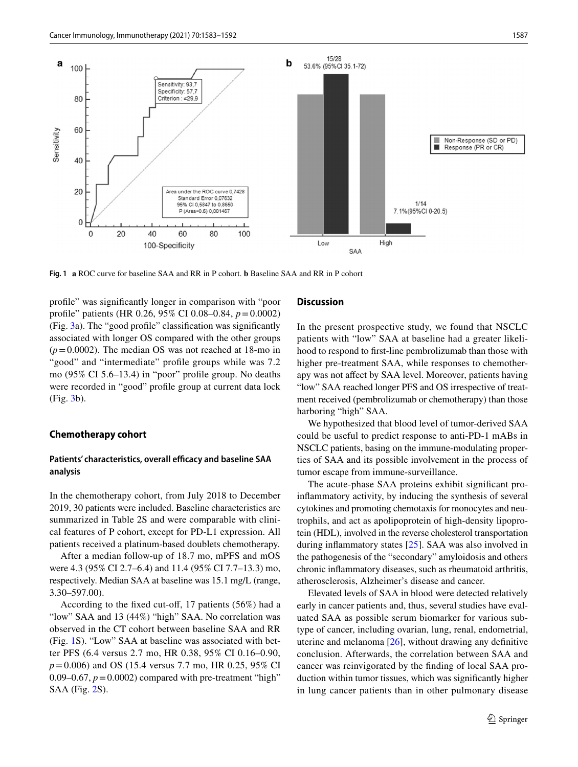

<span id="page-4-0"></span>**Fig. 1 a** ROC curve for baseline SAA and RR in P cohort. **b** Baseline SAA and RR in P cohort

profle" was signifcantly longer in comparison with "poor profle" patients (HR 0.26, 95% CI 0.08–0.84, *p*=0.0002) (Fig. [3](#page-8-9)a). The "good profle" classifcation was signifcantly associated with longer OS compared with the other groups  $(p=0.0002)$ . The median OS was not reached at 18-mo in "good" and "intermediate" profle groups while was 7.2 mo (95% CI 5.6–13.4) in "poor" profle group. No deaths were recorded in "good" profle group at current data lock (Fig. [3b](#page-8-9)).

#### **Chemotherapy cohort**

### Patients' characteristics, overall efficacy and baseline SAA **analysis**

In the chemotherapy cohort, from July 2018 to December 2019, 30 patients were included. Baseline characteristics are summarized in Table 2S and were comparable with clinical features of P cohort, except for PD-L1 expression. All patients received a platinum-based doublets chemotherapy.

After a median follow-up of 18.7 mo, mPFS and mOS were 4.3 (95% CI 2.7–6.4) and 11.4 (95% CI 7.7–13.3) mo, respectively. Median SAA at baseline was 15.1 mg/L (range, 3.30–597.00).

According to the fixed cut-off, 17 patients (56%) had a "low" SAA and 13 (44%) "high" SAA. No correlation was observed in the CT cohort between baseline SAA and RR (Fig. [1](#page-4-0)S). "Low" SAA at baseline was associated with better PFS (6.4 versus 2.7 mo, HR 0.38, 95% CI 0.16–0.90, *p*=0.006) and OS (15.4 versus 7.7 mo, HR 0.25, 95% CI 0.09–0.67,  $p = 0.0002$ ) compared with pre-treatment "high" SAA (Fig. [2](#page-6-0)S).

### **Discussion**

In the present prospective study, we found that NSCLC patients with "low" SAA at baseline had a greater likelihood to respond to frst-line pembrolizumab than those with higher pre-treatment SAA, while responses to chemotherapy was not afect by SAA level. Moreover, patients having "low" SAA reached longer PFS and OS irrespective of treatment received (pembrolizumab or chemotherapy) than those harboring "high" SAA.

We hypothesized that blood level of tumor-derived SAA could be useful to predict response to anti-PD-1 mABs in NSCLC patients, basing on the immune-modulating properties of SAA and its possible involvement in the process of tumor escape from immune-surveillance.

The acute-phase SAA proteins exhibit signifcant proinfammatory activity, by inducing the synthesis of several cytokines and promoting chemotaxis for monocytes and neutrophils, and act as apolipoprotein of high-density lipoprotein (HDL), involved in the reverse cholesterol transportation during infammatory states [\[25](#page-9-9)]. SAA was also involved in the pathogenesis of the "secondary" amyloidosis and others chronic infammatory diseases, such as rheumatoid arthritis, atherosclerosis, Alzheimer's disease and cancer.

Elevated levels of SAA in blood were detected relatively early in cancer patients and, thus, several studies have evaluated SAA as possible serum biomarker for various subtype of cancer, including ovarian, lung, renal, endometrial, uterine and melanoma [\[26](#page-9-10)], without drawing any defnitive conclusion. Afterwards, the correlation between SAA and cancer was reinvigorated by the fnding of local SAA production within tumor tissues, which was signifcantly higher in lung cancer patients than in other pulmonary disease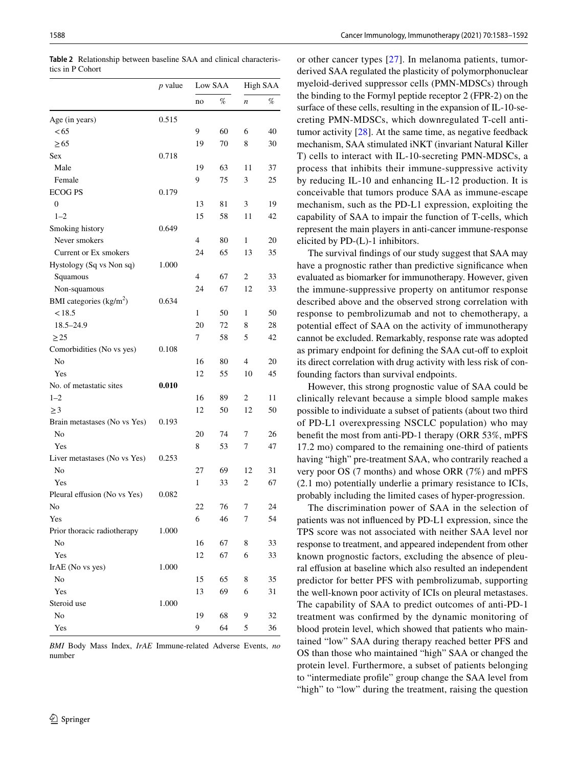|                                     | $p$ value |                | Low SAA |                  | High SAA |  |
|-------------------------------------|-----------|----------------|---------|------------------|----------|--|
|                                     |           | no             | %       | $\boldsymbol{n}$ | %        |  |
| Age (in years)                      | 0.515     |                |         |                  |          |  |
| < 65                                |           | 9              | 60      | 6                | 40       |  |
| $\geq 65$                           |           | 19             | 70      | 8                | 30       |  |
| Sex                                 | 0.718     |                |         |                  |          |  |
| Male                                |           | 19             | 63      | 11               | 37       |  |
| Female                              |           | 9              | 75      | 3                | 25       |  |
| <b>ECOG PS</b>                      | 0.179     |                |         |                  |          |  |
| $\boldsymbol{0}$                    |           | 13             | 81      | 3                | 19       |  |
| $1 - 2$                             |           | 15             | 58      | 11               | 42       |  |
| Smoking history                     | 0.649     |                |         |                  |          |  |
| Never smokers                       |           | $\overline{4}$ | 80      | 1                | 20       |  |
| Current or Ex smokers               |           | 24             | 65      | 13               | 35       |  |
| Hystology (Sq vs Non sq)            | 1.000     |                |         |                  |          |  |
| Squamous                            |           | $\overline{4}$ | 67      | 2                | 33       |  |
| Non-squamous                        |           | 24             | 67      | 12               | 33       |  |
| BMI categories (kg/m <sup>2</sup> ) | 0.634     |                |         |                  |          |  |
| < 18.5                              |           | 1              | 50      | 1                | 50       |  |
| $18.5 - 24.9$                       |           | 20             | 72      | 8                | 28       |  |
|                                     |           |                |         |                  |          |  |
| $\geq$ 25                           |           | 7              | 58      | 5                | 42       |  |
| Comorbidities (No vs yes)           | 0.108     |                |         |                  |          |  |
| No                                  |           | 16             | 80      | 4                | 20       |  |
| Yes                                 |           | 12             | 55      | 10               | 45       |  |
| No. of metastatic sites             | 0.010     |                |         |                  |          |  |
| $1 - 2$                             |           | 16             | 89      | 2                | 11       |  |
| $\geq$ 3                            |           | 12             | 50      | 12               | 50       |  |
| Brain metastases (No vs Yes)        | 0.193     |                |         |                  |          |  |
| No                                  |           | 20             | 74      | 7                | 26       |  |
| Yes                                 |           | 8              | 53      | 7                | 47       |  |
| Liver metastases (No vs Yes)        | 0.253     |                |         |                  |          |  |
| No                                  |           | 27             | 69      | 12               | 31       |  |
| Yes                                 |           | 1              | 33      | 2                | 67       |  |
| Pleural effusion (No vs Yes)        | 0.082     |                |         |                  |          |  |
| No                                  |           | 22             | 76      | 7                | 24       |  |
| Yes                                 |           | 6              | 46      | 7                | 54       |  |
| Prior thoracic radiotherapy         | 1.000     |                |         |                  |          |  |
| N <sub>o</sub>                      |           | 16             | 67      | 8                | 33       |  |
| Yes                                 |           | 12             | 67      | 6                | 33       |  |
| IrAE (No vs yes)                    | 1.000     |                |         |                  |          |  |
| No                                  |           | 15             | 65      | 8                | 35       |  |
| Yes                                 |           | 13             | 69      | 6                | 31       |  |
| Steroid use                         | 1.000     |                |         |                  |          |  |
| No                                  |           | 19             | 68      | 9                | 32       |  |
| Yes                                 |           | 9              | 64      | 5                | 36       |  |

<span id="page-5-0"></span>**Table 2** Relationship between baseline SAA and clinical characteristics in P Cohort

*BMI* Body Mass Index, *IrAE* Immune-related Adverse Events, *no* number

or other cancer types [[27](#page-9-11)]. In melanoma patients, tumorderived SAA regulated the plasticity of polymorphonuclear myeloid-derived suppressor cells (PMN-MDSCs) through the binding to the Formyl peptide receptor 2 (FPR-2) on the surface of these cells, resulting in the expansion of IL-10-secreting PMN-MDSCs, which downregulated T-cell antitumor activity [[28](#page-9-12)]. At the same time, as negative feedback mechanism, SAA stimulated iNKT (invariant Natural Killer T) cells to interact with IL-10-secreting PMN-MDSCs, a process that inhibits their immune-suppressive activity by reducing IL-10 and enhancing IL-12 production. It is conceivable that tumors produce SAA as immune-escape mechanism, such as the PD-L1 expression, exploiting the capability of SAA to impair the function of T-cells, which represent the main players in anti-cancer immune-response elicited by PD-(L)-1 inhibitors.

The survival fndings of our study suggest that SAA may have a prognostic rather than predictive signifcance when evaluated as biomarker for immunotherapy. However, given the immune-suppressive property on antitumor response described above and the observed strong correlation with response to pembrolizumab and not to chemotherapy, a potential efect of SAA on the activity of immunotherapy cannot be excluded. Remarkably, response rate was adopted as primary endpoint for defining the SAA cut-off to exploit its direct correlation with drug activity with less risk of confounding factors than survival endpoints.

However, this strong prognostic value of SAA could be clinically relevant because a simple blood sample makes possible to individuate a subset of patients (about two third of PD-L1 overexpressing NSCLC population) who may beneft the most from anti-PD-1 therapy (ORR 53%, mPFS 17.2 mo) compared to the remaining one-third of patients having "high" pre-treatment SAA, who contrarily reached a very poor OS (7 months) and whose ORR (7%) and mPFS (2.1 mo) potentially underlie a primary resistance to ICIs, probably including the limited cases of hyper-progression.

The discrimination power of SAA in the selection of patients was not infuenced by PD-L1 expression, since the TPS score was not associated with neither SAA level nor response to treatment, and appeared independent from other known prognostic factors, excluding the absence of pleural effusion at baseline which also resulted an independent predictor for better PFS with pembrolizumab, supporting the well-known poor activity of ICIs on pleural metastases. The capability of SAA to predict outcomes of anti-PD-1 treatment was confrmed by the dynamic monitoring of blood protein level, which showed that patients who maintained "low" SAA during therapy reached better PFS and OS than those who maintained "high" SAA or changed the protein level. Furthermore, a subset of patients belonging to "intermediate profle" group change the SAA level from "high" to "low" during the treatment, raising the question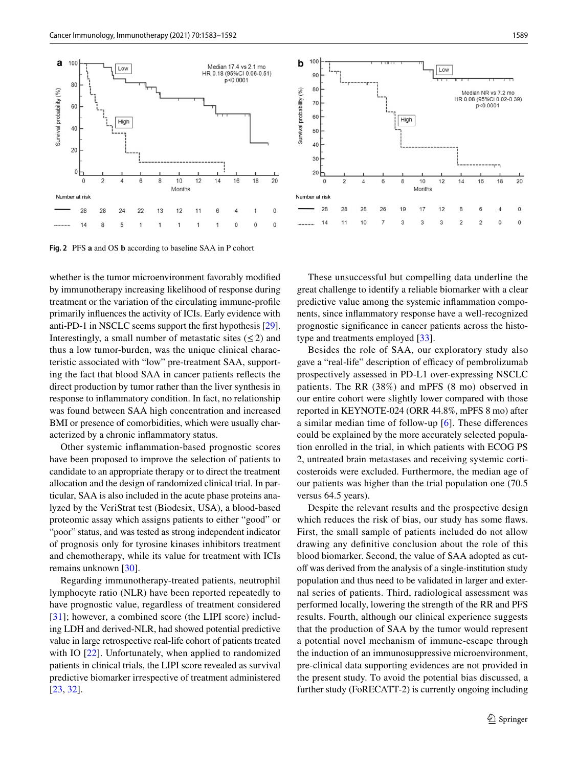

<span id="page-6-0"></span>**Fig. 2** PFS **a** and OS **b** according to baseline SAA in P cohort

whether is the tumor microenvironment favorably modifed by immunotherapy increasing likelihood of response during treatment or the variation of the circulating immune-profle primarily infuences the activity of ICIs. Early evidence with anti-PD-1 in NSCLC seems support the frst hypothesis [\[29](#page-9-13)]. Interestingly, a small number of metastatic sites  $(\leq 2)$  and thus a low tumor-burden, was the unique clinical characteristic associated with "low" pre-treatment SAA, supporting the fact that blood SAA in cancer patients refects the direct production by tumor rather than the liver synthesis in response to infammatory condition. In fact, no relationship was found between SAA high concentration and increased BMI or presence of comorbidities, which were usually characterized by a chronic infammatory status.

Other systemic infammation-based prognostic scores have been proposed to improve the selection of patients to candidate to an appropriate therapy or to direct the treatment allocation and the design of randomized clinical trial. In particular, SAA is also included in the acute phase proteins analyzed by the VeriStrat test (Biodesix, USA), a blood-based proteomic assay which assigns patients to either "good" or "poor" status, and was tested as strong independent indicator of prognosis only for tyrosine kinases inhibitors treatment and chemotherapy, while its value for treatment with ICIs remains unknown [[30\]](#page-9-14).

Regarding immunotherapy-treated patients, neutrophil lymphocyte ratio (NLR) have been reported repeatedly to have prognostic value, regardless of treatment considered [[31\]](#page-9-15); however, a combined score (the LIPI score) including LDH and derived-NLR, had showed potential predictive value in large retrospective real-life cohort of patients treated with IO [[22\]](#page-9-7). Unfortunately, when applied to randomized patients in clinical trials, the LIPI score revealed as survival predictive biomarker irrespective of treatment administered [\[23,](#page-9-8) [32\]](#page-9-16).

These unsuccessful but compelling data underline the great challenge to identify a reliable biomarker with a clear predictive value among the systemic infammation components, since infammatory response have a well-recognized prognostic signifcance in cancer patients across the histotype and treatments employed [[33\]](#page-9-17).

Besides the role of SAA, our exploratory study also gave a "real-life" description of efficacy of pembrolizumab prospectively assessed in PD-L1 over-expressing NSCLC patients. The RR (38%) and mPFS (8 mo) observed in our entire cohort were slightly lower compared with those reported in KEYNOTE-024 (ORR 44.8%, mPFS 8 mo) after a similar median time of follow-up [[6\]](#page-8-5). These diferences could be explained by the more accurately selected population enrolled in the trial, in which patients with ECOG PS 2, untreated brain metastases and receiving systemic corticosteroids were excluded. Furthermore, the median age of our patients was higher than the trial population one (70.5 versus 64.5 years).

Despite the relevant results and the prospective design which reduces the risk of bias, our study has some faws. First, the small sample of patients included do not allow drawing any defnitive conclusion about the role of this blood biomarker. Second, the value of SAA adopted as cutoff was derived from the analysis of a single-institution study population and thus need to be validated in larger and external series of patients. Third, radiological assessment was performed locally, lowering the strength of the RR and PFS results. Fourth, although our clinical experience suggests that the production of SAA by the tumor would represent a potential novel mechanism of immune-escape through the induction of an immunosuppressive microenvironment, pre-clinical data supporting evidences are not provided in the present study. To avoid the potential bias discussed, a further study (FoRECATT-2) is currently ongoing including

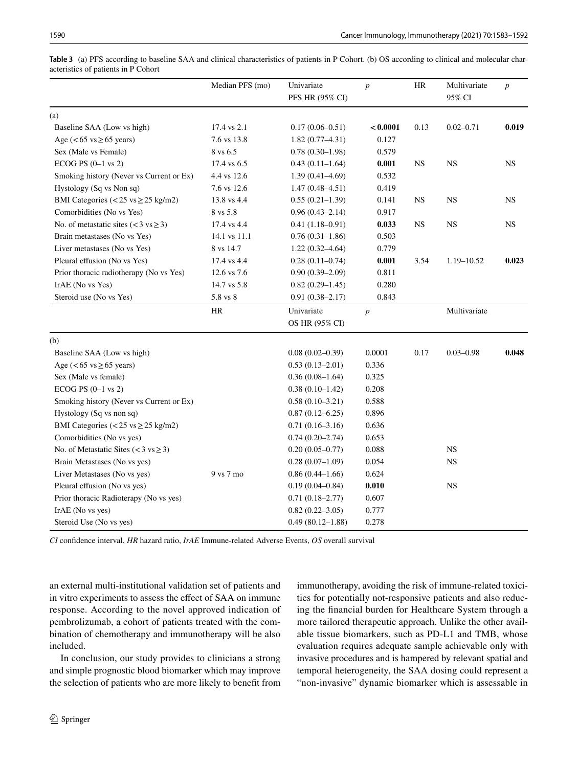|                                                   | Median PFS (mo) | Univariate           | $\boldsymbol{p}$ | HR        | Multivariate  | $\boldsymbol{p}$ |
|---------------------------------------------------|-----------------|----------------------|------------------|-----------|---------------|------------------|
|                                                   |                 | PFS HR (95% CI)      |                  |           | 95% CI        |                  |
| (a)                                               |                 |                      |                  |           |               |                  |
| Baseline SAA (Low vs high)                        | 17.4 vs 2.1     | $0.17(0.06 - 0.51)$  | < 0.0001         | 0.13      | $0.02 - 0.71$ | 0.019            |
| Age ( $< 65$ vs $\ge 65$ years)                   | 7.6 vs 13.8     | $1.82(0.77 - 4.31)$  | 0.127            |           |               |                  |
| Sex (Male vs Female)                              | 8 vs 6.5        | $0.78(0.30-1.98)$    | 0.579            |           |               |                  |
| ECOG PS $(0-1$ vs $2)$                            | 17.4 vs 6.5     | $0.43(0.11-1.64)$    | 0.001            | <b>NS</b> | <b>NS</b>     | <b>NS</b>        |
| Smoking history (Never vs Current or Ex)          | 4.4 vs 12.6     | $1.39(0.41 - 4.69)$  | 0.532            |           |               |                  |
| Hystology (Sq vs Non sq)                          | 7.6 vs 12.6     | $1.47(0.48 - 4.51)$  | 0.419            |           |               |                  |
| BMI Categories (<25 vs $\geq$ 25 kg/m2)           | 13.8 vs 4.4     | $0.55(0.21-1.39)$    | 0.141            | <b>NS</b> | <b>NS</b>     | <b>NS</b>        |
| Comorbidities (No vs Yes)                         | 8 vs 5.8        | $0.96(0.43 - 2.14)$  | 0.917            |           |               |                  |
| No. of metastatic sites $(< 3 \text{ vs } \ge 3)$ | 17.4 vs 4.4     | $0.41(1.18-0.91)$    | 0.033            | <b>NS</b> | <b>NS</b>     | $_{\rm NS}$      |
| Brain metastases (No vs Yes)                      | 14.1 vs 11.1    | $0.76(0.31-1.86)$    | 0.503            |           |               |                  |
| Liver metastases (No vs Yes)                      | 8 vs 14.7       | $1.22(0.32 - 4.64)$  | 0.779            |           |               |                  |
| Pleural effusion (No vs Yes)                      | 17.4 vs 4.4     | $0.28(0.11-0.74)$    | 0.001            | 3.54      | 1.19-10.52    | 0.023            |
| Prior thoracic radiotherapy (No vs Yes)           | 12.6 vs 7.6     | $0.90(0.39 - 2.09)$  | 0.811            |           |               |                  |
| IrAE (No vs Yes)                                  | 14.7 vs 5.8     | $0.82(0.29 - 1.45)$  | 0.280            |           |               |                  |
| Steroid use (No vs Yes)                           | 5.8 vs 8        | $0.91(0.38 - 2.17)$  | 0.843            |           |               |                  |
|                                                   | HR              | Univariate           | $\boldsymbol{p}$ |           | Multivariate  |                  |
|                                                   |                 | OS HR (95% CI)       |                  |           |               |                  |
| (b)                                               |                 |                      |                  |           |               |                  |
| Baseline SAA (Low vs high)                        |                 | $0.08(0.02 - 0.39)$  | 0.0001           | 0.17      | $0.03 - 0.98$ | 0.048            |
| Age ( $< 65$ vs $\ge 65$ years)                   |                 | $0.53(0.13-2.01)$    | 0.336            |           |               |                  |
| Sex (Male vs female)                              |                 | $0.36(0.08-1.64)$    | 0.325            |           |               |                  |
| ECOG PS $(0-1$ vs $2)$                            |                 | $0.38(0.10-1.42)$    | 0.208            |           |               |                  |
| Smoking history (Never vs Current or Ex)          |                 | $0.58(0.10-3.21)$    | 0.588            |           |               |                  |
| Hystology (Sq vs non sq)                          |                 | $0.87(0.12 - 6.25)$  | 0.896            |           |               |                  |
| BMI Categories ( $< 25$ vs $\geq 25$ kg/m2)       |                 | $0.71(0.16-3.16)$    | 0.636            |           |               |                  |
| Comorbidities (No vs yes)                         |                 | $0.74(0.20-2.74)$    | 0.653            |           |               |                  |
| No. of Metastatic Sites ( $<$ 3 vs $\ge$ 3)       |                 | $0.20(0.05 - 0.77)$  | 0.088            |           | $_{\rm NS}$   |                  |
| Brain Metastases (No vs yes)                      |                 | $0.28(0.07-1.09)$    | 0.054            |           | $_{\rm NS}$   |                  |
| 9 vs 7 mo<br>Liver Metastases (No vs yes)         |                 | $0.86(0.44 - 1.66)$  | 0.624            |           |               |                  |
| Pleural effusion (No vs yes)                      |                 | $0.19(0.04 - 0.84)$  | 0.010            |           | <b>NS</b>     |                  |
| Prior thoracic Radioterapy (No vs yes)            |                 | $0.71(0.18 - 2.77)$  | 0.607            |           |               |                  |
| IrAE (No vs yes)                                  |                 | $0.82(0.22 - 3.05)$  | 0.777            |           |               |                  |
| Steroid Use (No vs yes)                           |                 | $0.49(80.12 - 1.88)$ | 0.278            |           |               |                  |

<span id="page-7-0"></span>**Table 3** (a) PFS according to baseline SAA and clinical characteristics of patients in P Cohort. (b) OS according to clinical and molecular characteristics of patients in P Cohort

*CI* confdence interval, *HR* hazard ratio, *IrAE* Immune-related Adverse Events, *OS* overall survival

an external multi-institutional validation set of patients and in vitro experiments to assess the efect of SAA on immune response. According to the novel approved indication of pembrolizumab, a cohort of patients treated with the combination of chemotherapy and immunotherapy will be also included.

In conclusion, our study provides to clinicians a strong and simple prognostic blood biomarker which may improve the selection of patients who are more likely to beneft from immunotherapy, avoiding the risk of immune-related toxicities for potentially not-responsive patients and also reducing the fnancial burden for Healthcare System through a more tailored therapeutic approach. Unlike the other available tissue biomarkers, such as PD-L1 and TMB, whose evaluation requires adequate sample achievable only with invasive procedures and is hampered by relevant spatial and temporal heterogeneity, the SAA dosing could represent a "non-invasive" dynamic biomarker which is assessable in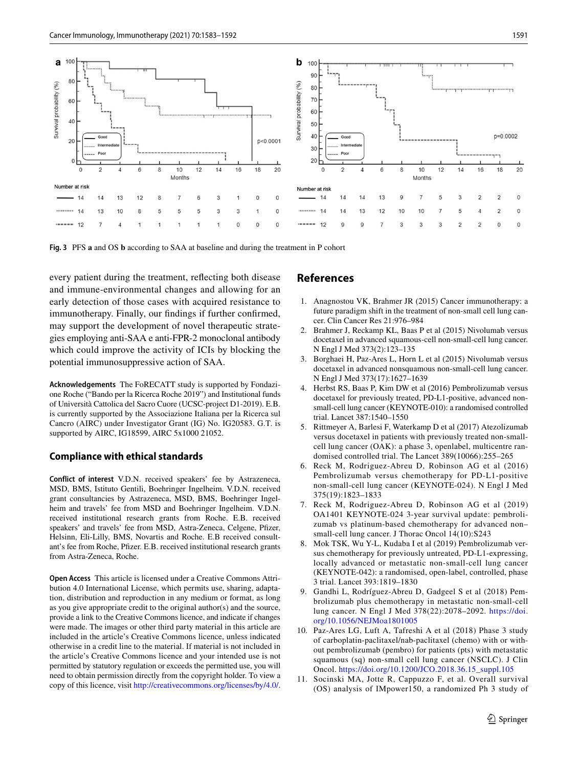

<span id="page-8-9"></span>**Fig. 3** PFS **a** and OS **b** according to SAA at baseline and during the treatment in P cohort

every patient during the treatment, refecting both disease and immune-environmental changes and allowing for an early detection of those cases with acquired resistance to immunotherapy. Finally, our fndings if further confrmed, may support the development of novel therapeutic strategies employing anti-SAA e anti-FPR-2 monoclonal antibody which could improve the activity of ICIs by blocking the potential immunosuppressive action of SAA.

**Acknowledgements** The FoRECATT study is supported by Fondazione Roche ("Bando per la Ricerca Roche 2019") and Institutional funds of Università Cattolica del Sacro Cuore (UCSC-project D1-2019). E.B. is currently supported by the Associazione Italiana per la Ricerca sul Cancro (AIRC) under Investigator Grant (IG) No. IG20583. G.T. is supported by AIRC, IG18599, AIRC 5x1000 21052.

### **Compliance with ethical standards**

**Conflict of interest** V.D.N. received speakers' fee by Astrazeneca, MSD, BMS, Istituto Gentili, Boehringer Ingelheim. V.D.N. received grant consultancies by Astrazeneca, MSD, BMS, Boehringer Ingelheim and travels' fee from MSD and Boehringer Ingelheim. V.D.N. received institutional research grants from Roche. E.B. received speakers' and travels' fee from MSD, Astra-Zeneca, Celgene, Pfizer, Helsinn, Eli-Lilly, BMS, Novartis and Roche. E.B received consultant's fee from Roche, Pfzer. E.B. received institutional research grants from Astra-Zeneca, Roche.

**Open Access** This article is licensed under a Creative Commons Attribution 4.0 International License, which permits use, sharing, adaptation, distribution and reproduction in any medium or format, as long as you give appropriate credit to the original author(s) and the source, provide a link to the Creative Commons licence, and indicate if changes were made. The images or other third party material in this article are included in the article's Creative Commons licence, unless indicated otherwise in a credit line to the material. If material is not included in the article's Creative Commons licence and your intended use is not permitted by statutory regulation or exceeds the permitted use, you will need to obtain permission directly from the copyright holder. To view a copy of this licence, visit <http://creativecommons.org/licenses/by/4.0/>.

### **References**

- <span id="page-8-0"></span>1. Anagnostou VK, Brahmer JR (2015) Cancer immunotherapy: a future paradigm shift in the treatment of non-small cell lung cancer. Clin Cancer Res 21:976–984
- <span id="page-8-1"></span>2. Brahmer J, Reckamp KL, Baas P et al (2015) Nivolumab versus docetaxel in advanced squamous-cell non-small-cell lung cancer. N Engl J Med 373(2):123–135
- <span id="page-8-2"></span>3. Borghaei H, Paz-Ares L, Horn L et al (2015) Nivolumab versus docetaxel in advanced nonsquamous non-small-cell lung cancer. N Engl J Med 373(17):1627–1639
- <span id="page-8-3"></span>4. Herbst RS, Baas P, Kim DW et al (2016) Pembrolizumab versus docetaxel for previously treated, PD-L1-positive, advanced nonsmall-cell lung cancer (KEYNOTE-010): a randomised controlled trial. Lancet 387:1540–1550
- <span id="page-8-4"></span>5. Rittmeyer A, Barlesi F, Waterkamp D et al (2017) Atezolizumab versus docetaxel in patients with previously treated non-smallcell lung cancer (OAK): a phase 3, openlabel, multicentre randomised controlled trial. The Lancet 389(10066):255–265
- <span id="page-8-5"></span>6. Reck M, Rodriguez-Abreu D, Robinson AG et al (2016) Pembrolizumab versus chemotherapy for PD-L1-positive non-small-cell lung cancer (KEYNOTE-024). N Engl J Med 375(19):1823–1833
- <span id="page-8-6"></span>7. Reck M, Rodriguez-Abreu D, Robinson AG et al (2019) OA1401 KEYNOTE-024 3-year survival update: pembrolizumab vs platinum-based chemotherapy for advanced non– small-cell lung cancer. J Thorac Oncol 14(10):S243
- <span id="page-8-7"></span>8. Mok TSK, Wu Y-L, Kudaba I et al (2019) Pembrolizumab versus chemotherapy for previously untreated, PD-L1-expressing, locally advanced or metastatic non-small-cell lung cancer (KEYNOTE-042): a randomised, open-label, controlled, phase 3 trial. Lancet 393:1819–1830
- <span id="page-8-8"></span>9. Gandhi L, Rodríguez-Abreu D, Gadgeel S et al (2018) Pembrolizumab plus chemotherapy in metastatic non-small-cell lung cancer. N Engl J Med 378(22):2078–2092. [https://doi.](https://doi.org/10.1056/NEJMoa1801005) [org/10.1056/NEJMoa1801005](https://doi.org/10.1056/NEJMoa1801005)
- 10. Paz-Ares LG, Luft A, Tafreshi A et al (2018) Phase 3 study of carboplatin-paclitaxel/nab-paclitaxel (chemo) with or without pembrolizumab (pembro) for patients (pts) with metastatic squamous (sq) non-small cell lung cancer (NSCLC). J Clin Oncol. [https://doi.org/10.1200/JCO.2018.36.15\\_suppl.105](https://doi.org/10.1200/JCO.2018.36.15_suppl.105)
- 11. Socinski MA, Jotte R, Cappuzzo F, et al. Overall survival (OS) analysis of IMpower150, a randomized Ph 3 study of